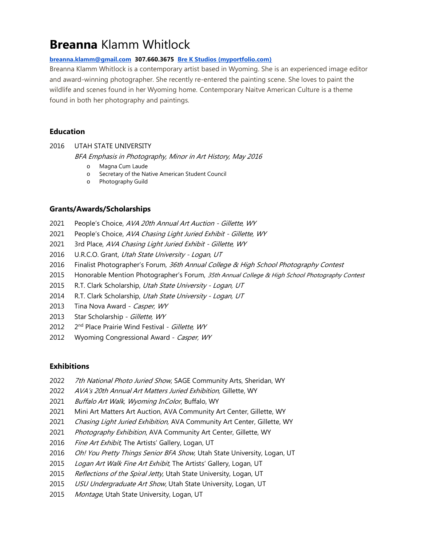# **Breanna** Klamm Whitlock

### **[breanna.klamm@gmail.com](mailto:breanna.klamm@gmail.com) 307.660.3675 [Bre K Studios \(myportfolio.com\)](https://brekstudios.myportfolio.com/)**

Breanna Klamm Whitlock is a contemporary artist based in Wyoming. She is an experienced image editor and award-winning photographer. She recently re-entered the painting scene. She loves to paint the wildlife and scenes found in her Wyoming home. Contemporary Naitve American Culture is a theme found in both her photography and paintings.

## **Education**

2016 UTAH STATE UNIVERSITY

BFA Emphasis in Photography, Minor in Art History, May 2016

- o Magna Cum Laude
- o Secretary of the Native American Student Council
- o Photography Guild

## **Grants/Awards/Scholarships**

- 2021 People's Choice, AVA 20th Annual Art Auction Gillette, WY
- 2021 People's Choice, AVA Chasing Light Juried Exhibit Gillette, WY
- 2021 3rd Place, AVA Chasing Light Juried Exhibit Gillette, WY
- 2016 U.R.C.O. Grant, Utah State University Logan, UT
- 2016 Finalist Photographer's Forum, 36th Annual College & High School Photography Contest
- 2015 Honorable Mention Photographer's Forum, 35th Annual College & High School Photography Contest
- 2015 R.T. Clark Scholarship, Utah State University Logan, UT
- 2014 R.T. Clark Scholarship, Utah State University Logan, UT
- 2013 Tina Nova Award Casper, WY
- 2013 Star Scholarship Gillette, WY
- 2012 2<sup>nd</sup> Place Prairie Wind Festival - Gillette, WY
- 2012 Wyoming Congressional Award Casper, WY

## **Exhibitions**

- 2022 7th National Photo Juried Show, SAGE Community Arts, Sheridan, WY
- 2022 AVA's 20th Annual Art Matters Juried Exhibition, Gillette, WY
- 2021 Buffalo Art Walk, Wyoming InColor, Buffalo, WY
- 2021 Mini Art Matters Art Auction, AVA Community Art Center, Gillette, WY
- 2021 Chasing Light Juried Exhibition, AVA Community Art Center, Gillette, WY
- 2021 Photography Exhibition, AVA Community Art Center, Gillette, WY
- 2016 Fine Art Exhibit, The Artists' Gallery, Logan, UT
- 2016 *Oh! You Pretty Things Senior BFA Show,* Utah State University, Logan, UT
- 2015 Logan Art Walk Fine Art Exhibit, The Artists' Gallery, Logan, UT
- 2015 Reflections of the Spiral Jetty, Utah State University, Logan, UT
- 2015 USU Undergraduate Art Show, Utah State University, Logan, UT
- 2015 Montage, Utah State University, Logan, UT